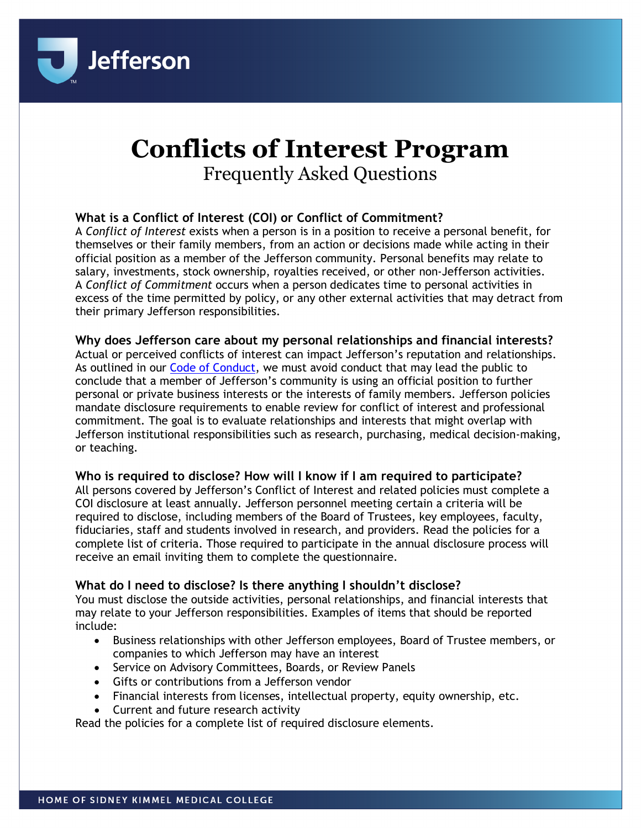

# **Conflicts of Interest Program** Frequently Asked Questions

# **What is a Conflict of Interest (COI) or Conflict of Commitment?**

A *Conflict of Interest* exists when a person is in a position to receive a personal benefit, for themselves or their family members, from an action or decisions made while acting in their official position as a member of the Jefferson community. Personal benefits may relate to salary, investments, stock ownership, royalties received, or other non-Jefferson activities. A *Conflict of Commitment* occurs when a person dedicates time to personal activities in excess of the time permitted by policy, or any other external activities that may detract from their primary Jefferson responsibilities.

#### **Why does Jefferson care about my personal relationships and financial interests?**

Actual or perceived conflicts of interest can impact Jefferson's reputation and relationships. As outlined in our [Code of Conduct,](https://hr.jefferson.edu/life-at-jefferson/code-of-conduct.html) we must avoid conduct that may lead the public to conclude that a member of Jefferson's community is using an official position to further personal or private business interests or the interests of family members. Jefferson policies mandate disclosure requirements to enable review for conflict of interest and professional commitment. The goal is to evaluate relationships and interests that might overlap with Jefferson institutional responsibilities such as research, purchasing, medical decision-making, or teaching.

#### **Who is required to disclose? How will I know if I am required to participate?**

All persons covered by Jefferson's Conflict of Interest and related policies must complete a COI disclosure at least annually. Jefferson personnel meeting certain a criteria will be required to disclose, including members of the Board of Trustees, key employees, faculty, fiduciaries, staff and students involved in research, and providers. Read the policies for a complete list of criteria. Those required to participate in the annual disclosure process will receive an email inviting them to complete the questionnaire.

# **What do I need to disclose? Is there anything I shouldn't disclose?**

You must disclose the outside activities, personal relationships, and financial interests that may relate to your Jefferson responsibilities. Examples of items that should be reported include:

- Business relationships with other Jefferson employees, Board of Trustee members, or companies to which Jefferson may have an interest
- Service on Advisory Committees, Boards, or Review Panels
- Gifts or contributions from a Jefferson vendor
- Financial interests from licenses, intellectual property, equity ownership, etc.
- Current and future research activity

Read the policies for a complete list of required disclosure elements.